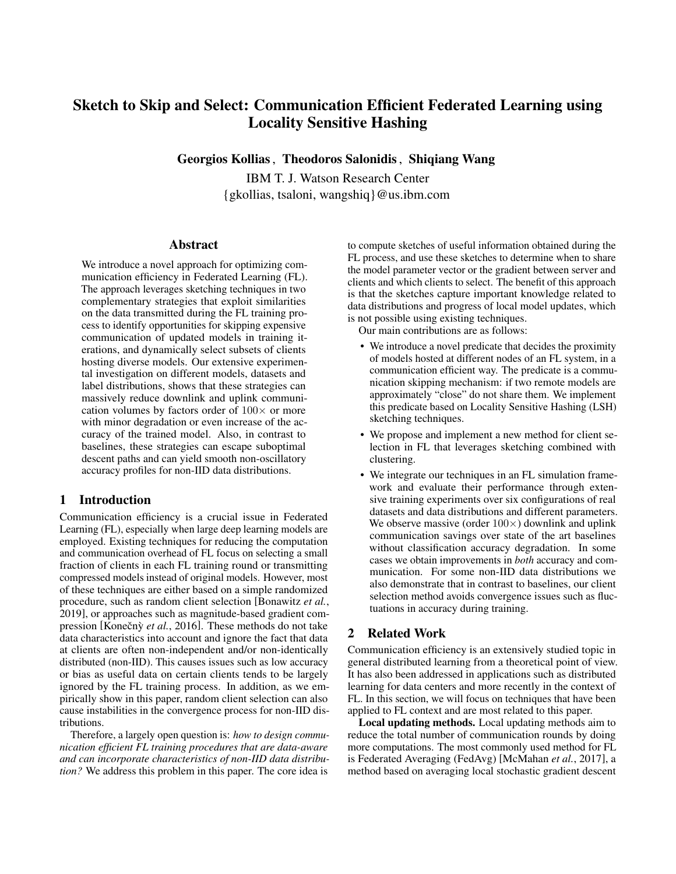# Sketch to Skip and Select: Communication Efficient Federated Learning using Locality Sensitive Hashing

Georgios Kollias, Theodoros Salonidis, Shiqiang Wang

IBM T. J. Watson Research Center {gkollias, tsaloni, wangshiq}@us.ibm.com

#### Abstract

We introduce a novel approach for optimizing communication efficiency in Federated Learning (FL). The approach leverages sketching techniques in two complementary strategies that exploit similarities on the data transmitted during the FL training process to identify opportunities for skipping expensive communication of updated models in training iterations, and dynamically select subsets of clients hosting diverse models. Our extensive experimental investigation on different models, datasets and label distributions, shows that these strategies can massively reduce downlink and uplink communication volumes by factors order of  $100\times$  or more with minor degradation or even increase of the accuracy of the trained model. Also, in contrast to baselines, these strategies can escape suboptimal descent paths and can yield smooth non-oscillatory accuracy profiles for non-IID data distributions.

#### 1 Introduction

Communication efficiency is a crucial issue in Federated Learning (FL), especially when large deep learning models are employed. Existing techniques for reducing the computation and communication overhead of FL focus on selecting a small fraction of clients in each FL training round or transmitting compressed models instead of original models. However, most of these techniques are either based on a simple randomized procedure, such as random client selection [\[Bonawitz](#page-6-0) *et al.*, [2019\]](#page-6-0), or approaches such as magnitude-based gradient compression [Konečnỳ *et al.*, 2016]. These methods do not take data characteristics into account and ignore the fact that data at clients are often non-independent and/or non-identically distributed (non-IID). This causes issues such as low accuracy or bias as useful data on certain clients tends to be largely ignored by the FL training process. In addition, as we empirically show in this paper, random client selection can also cause instabilities in the convergence process for non-IID distributions.

Therefore, a largely open question is: *how to design communication efficient FL training procedures that are data-aware and can incorporate characteristics of non-IID data distribution?* We address this problem in this paper. The core idea is

to compute sketches of useful information obtained during the FL process, and use these sketches to determine when to share the model parameter vector or the gradient between server and clients and which clients to select. The benefit of this approach is that the sketches capture important knowledge related to data distributions and progress of local model updates, which is not possible using existing techniques.

Our main contributions are as follows:

- We introduce a novel predicate that decides the proximity of models hosted at different nodes of an FL system, in a communication efficient way. The predicate is a communication skipping mechanism: if two remote models are approximately "close" do not share them. We implement this predicate based on Locality Sensitive Hashing (LSH) sketching techniques.
- We propose and implement a new method for client selection in FL that leverages sketching combined with clustering.
- We integrate our techniques in an FL simulation framework and evaluate their performance through extensive training experiments over six configurations of real datasets and data distributions and different parameters. We observe massive (order  $100\times$ ) downlink and uplink communication savings over state of the art baselines without classification accuracy degradation. In some cases we obtain improvements in *both* accuracy and communication. For some non-IID data distributions we also demonstrate that in contrast to baselines, our client selection method avoids convergence issues such as fluctuations in accuracy during training.

# 2 Related Work

Communication efficiency is an extensively studied topic in general distributed learning from a theoretical point of view. It has also been addressed in applications such as distributed learning for data centers and more recently in the context of FL. In this section, we will focus on techniques that have been applied to FL context and are most related to this paper.

Local updating methods. Local updating methods aim to reduce the total number of communication rounds by doing more computations. The most commonly used method for FL is Federated Averaging (FedAvg) [\[McMahan](#page-6-2) *et al.*, 2017], a method based on averaging local stochastic gradient descent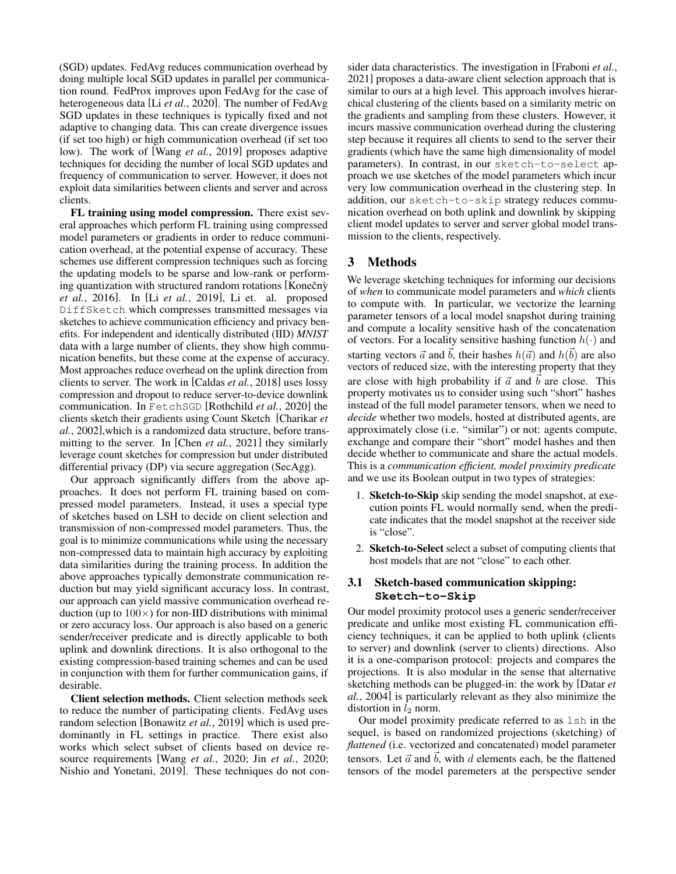(SGD) updates. FedAvg reduces communication overhead by doing multiple local SGD updates in parallel per communication round. FedProx improves upon FedAvg for the case of heterogeneous data [Li *et al.*[, 2020\]](#page-6-3). The number of FedAvg SGD updates in these techniques is typically fixed and not adaptive to changing data. This can create divergence issues (if set too high) or high communication overhead (if set too low). The work of [Wang *et al.*[, 2019\]](#page-6-4) proposes adaptive techniques for deciding the number of local SGD updates and frequency of communication to server. However, it does not exploit data similarities between clients and server and across clients.

FL training using model compression. There exist several approaches which perform FL training using compressed model parameters or gradients in order to reduce communication overhead, at the potential expense of accuracy. These schemes use different compression techniques such as forcing the updating models to be sparse and low-rank or performing quantization with structured random rotations  $[Konečn\hat{y}]$ *et al.*[, 2016\]](#page-6-1). In [Li *et al.*[, 2019\]](#page-6-5), Li et. al. proposed DiffSketch which compresses transmitted messages via sketches to achieve communication efficiency and privacy benefits. For independent and identically distributed (IID) *MNIST* data with a large number of clients, they show high communication benefits, but these come at the expense of accuracy. Most approaches reduce overhead on the uplink direction from clients to server. The work in [\[Caldas](#page-6-6) *et al.*, 2018] uses lossy compression and dropout to reduce server-to-device downlink communication. In FetchSGD [\[Rothchild](#page-6-7) *et al.*, 2020] the clients sketch their gradients using Count Sketch [\[Charikar](#page-6-8) *et al.*[, 2002\]](#page-6-8),which is a randomized data structure, before transmitting to the server. In [Chen *et al.*[, 2021\]](#page-6-9) they similarly leverage count sketches for compression but under distributed differential privacy (DP) via secure aggregation (SecAgg).

Our approach significantly differs from the above approaches. It does not perform FL training based on compressed model parameters. Instead, it uses a special type of sketches based on LSH to decide on client selection and transmission of non-compressed model parameters. Thus, the goal is to minimize communications while using the necessary non-compressed data to maintain high accuracy by exploiting data similarities during the training process. In addition the above approaches typically demonstrate communication reduction but may yield significant accuracy loss. In contrast, our approach can yield massive communication overhead reduction (up to  $100 \times$ ) for non-IID distributions with minimal or zero accuracy loss. Our approach is also based on a generic sender/receiver predicate and is directly applicable to both uplink and downlink directions. It is also orthogonal to the existing compression-based training schemes and can be used in conjunction with them for further communication gains, if desirable.

Client selection methods. Client selection methods seek to reduce the number of participating clients. FedAvg uses random selection [\[Bonawitz](#page-6-0) *et al.*, 2019] which is used predominantly in FL settings in practice. There exist also works which select subset of clients based on device resource requirements [Wang *et al.*[, 2020;](#page-6-10) Jin *et al.*[, 2020;](#page-6-11) [Nishio and Yonetani, 2019\]](#page-6-12). These techniques do not consider data characteristics. The investigation in [\[Fraboni](#page-6-13) *et al.*, [2021\]](#page-6-13) proposes a data-aware client selection approach that is similar to ours at a high level. This approach involves hierarchical clustering of the clients based on a similarity metric on the gradients and sampling from these clusters. However, it incurs massive communication overhead during the clustering step because it requires all clients to send to the server their gradients (which have the same high dimensionality of model parameters). In contrast, in our sketch-to-select approach we use sketches of the model parameters which incur very low communication overhead in the clustering step. In addition, our sketch-to-skip strategy reduces communication overhead on both uplink and downlink by skipping client model updates to server and server global model transmission to the clients, respectively.

# 3 Methods

We leverage sketching techniques for informing our decisions of *when* to communicate model parameters and *which* clients to compute with. In particular, we vectorize the learning parameter tensors of a local model snapshot during training and compute a locality sensitive hash of the concatenation of vectors. For a locality sensitive hashing function  $h(\cdot)$  and starting vectors  $\vec{a}$  and  $\vec{b}$ , their hashes  $h(\vec{a})$  and  $h(\vec{b})$  are also vectors of reduced size, with the interesting property that they are close with high probability if  $\vec{a}$  and  $\vec{b}$  are close. This property motivates us to consider using such "short" hashes instead of the full model parameter tensors, when we need to *decide* whether two models, hosted at distributed agents, are approximately close (i.e. "similar") or not: agents compute, exchange and compare their "short" model hashes and then decide whether to communicate and share the actual models. This is a *communication efficient, model proximity predicate* and we use its Boolean output in two types of strategies:

- 1. Sketch-to-Skip skip sending the model snapshot, at execution points FL would normally send, when the predicate indicates that the model snapshot at the receiver side is "close".
- 2. Sketch-to-Select select a subset of computing clients that host models that are not "close" to each other.

# 3.1 Sketch-based communication skipping: **Sketch-to-Skip**

Our model proximity protocol uses a generic sender/receiver predicate and unlike most existing FL communication efficiency techniques, it can be applied to both uplink (clients to server) and downlink (server to clients) directions. Also it is a one-comparison protocol: projects and compares the projections. It is also modular in the sense that alternative sketching methods can be plugged-in: the work by [\[Datar](#page-6-14) *et al.*[, 2004\]](#page-6-14) is particularly relevant as they also minimize the distortion in  $l_2$  norm.

Our model proximity predicate referred to as lsh in the sequel, is based on randomized projections (sketching) of *flattened* (i.e. vectorized and concatenated) model parameter tensors. Let  $\vec{a}$  and  $\vec{b}$ , with d elements each, be the flattened tensors of the model paremeters at the perspective sender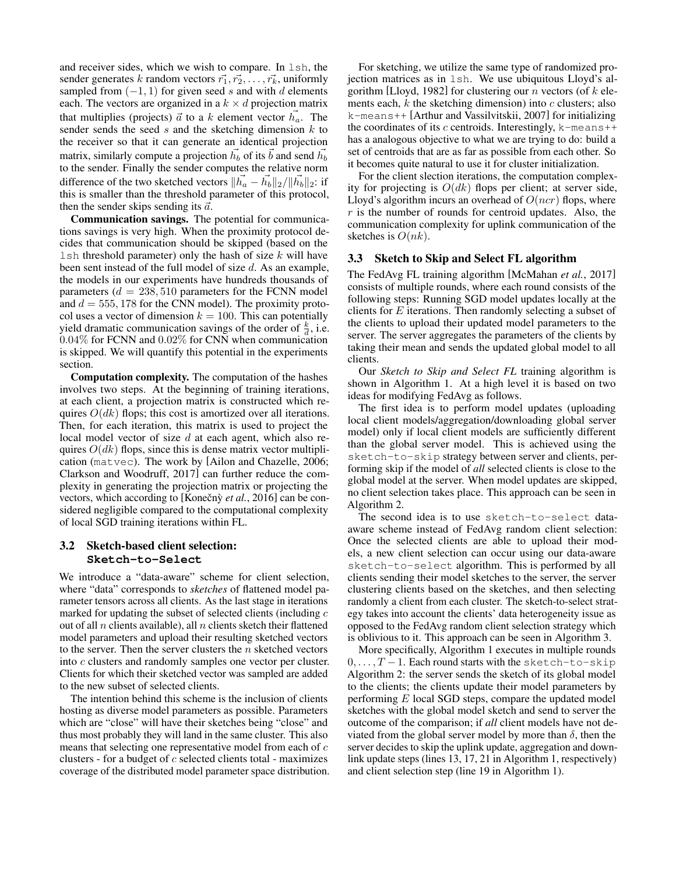and receiver sides, which we wish to compare. In lsh, the sender generates k random vectors  $\vec{r_1}, \vec{r_2}, \dots, \vec{r_k}$ , uniformly sampled from  $(-1, 1)$  for given seed s and with d elements each. The vectors are organized in a  $k \times d$  projection matrix that multiplies (projects)  $\vec{a}$  to a k element vector  $\vec{h}_a$ . The sender sends the seed  $s$  and the sketching dimension  $k$  to the receiver so that it can generate an identical projection matrix, similarly compute a projection  $\vec{h_b}$  of its  $\vec{b}$  and send  $\vec{h_b}$ to the sender. Finally the sender computes the relative norm difference of the two sketched vectors  $\|\vec{h_a} - \vec{h_b}\|_2 / \|\vec{h_b}\|_2$ : if this is smaller than the threshold parameter of this protocol, then the sender skips sending its  $\vec{a}$ .

Communication savings. The potential for communications savings is very high. When the proximity protocol decides that communication should be skipped (based on the  $\text{lsh}$  threshold parameter) only the hash of size k will have been sent instead of the full model of size d. As an example, the models in our experiments have hundreds thousands of parameters  $(d = 238, 510)$  parameters for the FCNN model and  $d = 555, 178$  for the CNN model). The proximity protocol uses a vector of dimension  $k = 100$ . This can potentially yield dramatic communication savings of the order of  $\frac{k}{d}$ , i.e. 0.04% for FCNN and 0.02% for CNN when communication is skipped. We will quantify this potential in the experiments section.

Computation complexity. The computation of the hashes involves two steps. At the beginning of training iterations, at each client, a projection matrix is constructed which requires  $O(dk)$  flops; this cost is amortized over all iterations. Then, for each iteration, this matrix is used to project the local model vector of size d at each agent, which also requires  $O(dk)$  flops, since this is dense matrix vector multiplication (matvec). The work by [\[Ailon and Chazelle, 2006;](#page-6-15) [Clarkson and Woodruff, 2017\]](#page-6-16) can further reduce the complexity in generating the projection matrix or projecting the vectors, which according to [Konečnỳ *et al.*, 2016] can be considered negligible compared to the computational complexity of local SGD training iterations within FL.

# 3.2 Sketch-based client selection: **Sketch-to-Select**

We introduce a "data-aware" scheme for client selection, where "data" corresponds to *sketches* of flattened model parameter tensors across all clients. As the last stage in iterations marked for updating the subset of selected clients (including  $c$ out of all  $n$  clients available), all  $n$  clients sketch their flattened model parameters and upload their resulting sketched vectors to the server. Then the server clusters the  $n$  sketched vectors into c clusters and randomly samples one vector per cluster. Clients for which their sketched vector was sampled are added to the new subset of selected clients.

The intention behind this scheme is the inclusion of clients hosting as diverse model parameters as possible. Parameters which are "close" will have their sketches being "close" and thus most probably they will land in the same cluster. This also means that selecting one representative model from each of c clusters - for a budget of  $c$  selected clients total - maximizes coverage of the distributed model parameter space distribution.

For sketching, we utilize the same type of randomized projection matrices as in lsh. We use ubiquitous Lloyd's al-gorithm [\[Lloyd, 1982\]](#page-6-17) for clustering our  $n$  vectors (of  $k$  elements each,  $k$  the sketching dimension) into  $c$  clusters; also k-means++ [\[Arthur and Vassilvitskii, 2007\]](#page-6-18) for initializing the coordinates of its c centroids. Interestingly,  $k$ -means++ has a analogous objective to what we are trying to do: build a set of centroids that are as far as possible from each other. So it becomes quite natural to use it for cluster initialization.

For the client slection iterations, the computation complexity for projecting is  $O(dk)$  flops per client; at server side, Lloyd's algorithm incurs an overhead of  $O(ncr)$  flops, where  $r$  is the number of rounds for centroid updates. Also, the communication complexity for uplink communication of the sketches is  $O(nk)$ .

#### 3.3 Sketch to Skip and Select FL algorithm

The FedAvg FL training algorithm [\[McMahan](#page-6-2) *et al.*, 2017] consists of multiple rounds, where each round consists of the following steps: Running SGD model updates locally at the clients for E iterations. Then randomly selecting a subset of the clients to upload their updated model parameters to the server. The server aggregates the parameters of the clients by taking their mean and sends the updated global model to all clients.

Our *Sketch to Skip and Select FL* training algorithm is shown in Algorithm [1.](#page-3-0) At a high level it is based on two ideas for modifying FedAvg as follows.

The first idea is to perform model updates (uploading local client models/aggregation/downloading global server model) only if local client models are sufficiently different than the global server model. This is achieved using the sketch-to-skip strategy between server and clients, performing skip if the model of *all* selected clients is close to the global model at the server. When model updates are skipped, no client selection takes place. This approach can be seen in Algorithm [2.](#page-3-1)

The second idea is to use sketch-to-select dataaware scheme instead of FedAvg random client selection: Once the selected clients are able to upload their models, a new client selection can occur using our data-aware sketch-to-select algorithm. This is performed by all clients sending their model sketches to the server, the server clustering clients based on the sketches, and then selecting randomly a client from each cluster. The sketch-to-select strategy takes into account the clients' data heterogeneity issue as opposed to the FedAvg random client selection strategy which is oblivious to it. This approach can be seen in Algorithm [3.](#page-4-0)

More specifically, Algorithm [1](#page-3-0) executes in multiple rounds  $0, \ldots, T-1$ . Each round starts with the sketch-to-skip Algorithm [2:](#page-3-1) the server sends the sketch of its global model to the clients; the clients update their model parameters by performing  $E$  local SGD steps, compare the updated model sketches with the global model sketch and send to server the outcome of the comparison; if *all* client models have not deviated from the global server model by more than  $\delta$ , then the server decides to skip the uplink update, aggregation and downlink update steps (lines 13, 17, 21 in Algorithm [1,](#page-3-0) respectively) and client selection step (line 19 in Algorithm [1\)](#page-3-0).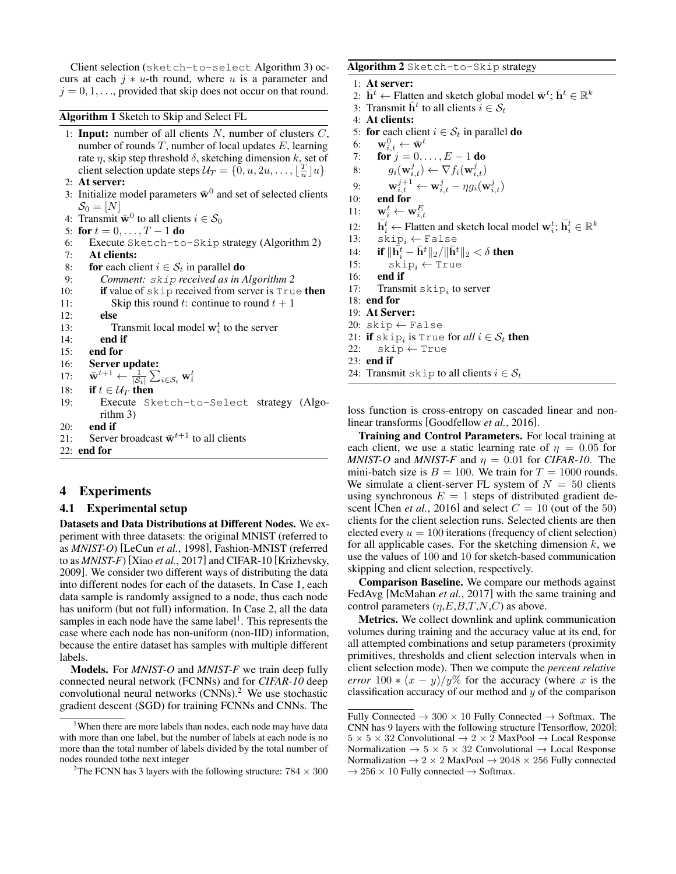Client selection (sketch-to-select Algorithm [3\)](#page-4-0) occurs at each  $j * u$ -th round, where u is a parameter and  $j = 0, 1, \ldots$ , provided that skip does not occur on that round.

<span id="page-3-0"></span>Algorithm 1 Sketch to Skip and Select FL

- 1: **Input:** number of all clients  $N$ , number of clusters  $C$ , number of rounds  $T$ , number of local updates  $E$ , learning rate  $\eta$ , skip step threshold  $\delta$ , sketching dimension k, set of client selection update steps  $\mathcal{U}_T = \{0, u, 2u, \dots, \lfloor \frac{T}{u} \rfloor u\}$
- 2: At server:
- 3: Initialize model parameters  $\bar{\mathbf{w}}^0$  and set of selected clients  $\mathcal{S}_0 = [N]$
- 4: Transmit  $\bar{\mathbf{w}}^0$  to all clients  $i \in \mathcal{S}_0$
- 5: for  $t = 0, ..., T 1$  do
- 6: Execute Sketch-to-Skip strategy (Algorithm [2\)](#page-3-1)
- 7: At clients:
- 8: for each client  $i \in S_t$  in parallel **do**
- 9: *Comment:* skip *received as in Algorithm [2](#page-3-1)*
- 10: if value of skip received from server is  $True$  then
- 11: Skip this round t: continue to round  $t + 1$
- 12: else
- 13: Transmit local model  $w_i^t$  to the server
- 14: end if
- 15: end for
- 16: Server update:

```
17:t{+}1 \leftarrow \frac{1}{|\mathcal{S}_t|}\sum_{i \in \mathcal{S}_t} \mathbf{w}_i^t
```
- 18: if  $t \in \mathcal{U}_T$  then
- 19: Execute Sketch-to-Select strategy (Algorithm [3\)](#page-4-0)
- 20: end if
- 21: Server broadcast  $\bar{\mathbf{w}}^{t+1}$  to all clients

22: end for

#### 4 Experiments

#### 4.1 Experimental setup

Datasets and Data Distributions at Different Nodes. We experiment with three datasets: the original MNIST (referred to as *MNIST-O*) [\[LeCun](#page-6-19) *et al.*, 1998], Fashion-MNIST (referred to as *MNIST-F*) [Xiao *et al.*[, 2017\]](#page-7-0) and CIFAR-10 [\[Krizhevsky,](#page-6-20) [2009\]](#page-6-20). We consider two different ways of distributing the data into different nodes for each of the datasets. In Case 1, each data sample is randomly assigned to a node, thus each node has uniform (but not full) information. In Case 2, all the data samples in each node have the same label<sup>[1](#page-3-2)</sup>. This represents the case where each node has non-uniform (non-IID) information, because the entire dataset has samples with multiple different labels.

Models. For *MNIST-O* and *MNIST-F* we train deep fully connected neural network (FCNNs) and for *CIFAR-10* deep convolutional neural networks  $(CNNs)$ .<sup>[2](#page-3-3)</sup> We use stochastic gradient descent (SGD) for training FCNNs and CNNs. The

### <span id="page-3-1"></span>Algorithm 2 Sketch-to-Skip strategy

1: At server:

- 2:  $\bar{\mathbf{h}}^t \leftarrow$  Flatten and sketch global model  $\bar{\mathbf{w}}^t; \bar{\mathbf{h}}^t \in \mathbb{R}^k$
- 3: Transmit  $\bar{\mathbf{h}}^t$  to all clients  $\widetilde{i} \in \mathcal{S}_t$
- 4: At clients:
- 5: for each client  $i \in S_t$  in parallel **do**
- 6:  $\mathbf{w}_{i,t}^0 \leftarrow \bar{\mathbf{w}}^t$
- 7: **for**  $j = 0, ..., E 1$  **do**
- 8:  $g_i(\mathbf{w}_{i,t}^j) \leftarrow \nabla f_i(\mathbf{w}_{i,t}^j)$
- 9:  $\mathbf{w}_{i,t}^{j+1} \leftarrow \mathbf{w}_{i,t}^j \eta g_i(\mathbf{w}_{i,t}^j)$
- 10: end for
- 11:  $\mathbf{w}_i^t \leftarrow \mathbf{w}_{i,t}^E$
- 12:  $\overline{\mathbf{h}}_i^t \leftarrow$  Flatten and sketch local model  $\mathbf{w}_i^t$ ;  $\overline{\mathbf{h}}_i^t \in \mathbb{R}^k$
- 13:  $skip_i \leftarrow$  False
- 14: **if**  $\|\dot{\bar{\mathbf{h}}}_{i}^{t} \bar{\mathbf{h}}^{t}\|_{2} / \|\bar{\mathbf{h}}^{t}\|_{2} < \delta$  then
- 15:  $skip_i \leftarrow True$ <br>16: **end if**
- end if
- 17: Transmit  $\sinh i$  to server
- 18: end for
- 19: At Server:
- 20: skip  $\leftarrow$  False
- 21: **if**  $\text{skip}_i$  is True for *all*  $i \in \mathcal{S}_t$  then
- 22:  $skip \leftarrow$  True
- 23: end if
- 24: Transmit skip to all clients  $i \in S_t$

loss function is cross-entropy on cascaded linear and nonlinear transforms [\[Goodfellow](#page-6-21) *et al.*, 2016].

Training and Control Parameters. For local training at each client, we use a static learning rate of  $\eta = 0.05$  for *MNIST-O* and *MNIST-F* and  $\eta = 0.01$  for *CIFAR-10*. The mini-batch size is  $B = 100$ . We train for  $T = 1000$  rounds. We simulate a client-server FL system of  $N = 50$  clients using synchronous  $E = 1$  steps of distributed gradient descent [Chen *et al.*[, 2016\]](#page-6-22) and select  $C = 10$  (out of the 50) clients for the client selection runs. Selected clients are then elected every  $u = 100$  iterations (frequency of client selection) for all applicable cases. For the sketching dimension  $k$ , we use the values of 100 and 10 for sketch-based communication skipping and client selection, respectively.

Comparison Baseline. We compare our methods against FedAvg [\[McMahan](#page-6-2) *et al.*, 2017] with the same training and control parameters  $(\eta, E, B, T, N, C)$  as above.

Metrics. We collect downlink and uplink communication volumes during training and the accuracy value at its end, for all attempted combinations and setup parameters (proximity primitives, thresholds and client selection intervals when in client selection mode). Then we compute the *percent relative error* 100  $*(x - y)/y\%$  for the accuracy (where x is the classification accuracy of our method and  $y$  of the comparison

<span id="page-3-2"></span><sup>&</sup>lt;sup>1</sup>When there are more labels than nodes, each node may have data with more than one label, but the number of labels at each node is no more than the total number of labels divided by the total number of nodes rounded tothe next integer

<span id="page-3-3"></span><sup>&</sup>lt;sup>2</sup>The FCNN has 3 layers with the following structure:  $784 \times 300$ 

Fully Connected  $\rightarrow$  300  $\times$  10 Fully Connected  $\rightarrow$  Softmax. The CNN has 9 layers with the following structure [\[Tensorflow, 2020\]](#page-6-23):  $5 \times 5 \times 32$  Convolutional  $\rightarrow 2 \times 2$  MaxPool  $\rightarrow$  Local Response Normalization  $\rightarrow$  5  $\times$  5  $\times$  32 Convolutional  $\rightarrow$  Local Response Normalization  $\rightarrow$  2  $\times$  2 MaxPool  $\rightarrow$  2048  $\times$  256 Fully connected  $\rightarrow$  256  $\times$  10 Fully connected  $\rightarrow$  Softmax.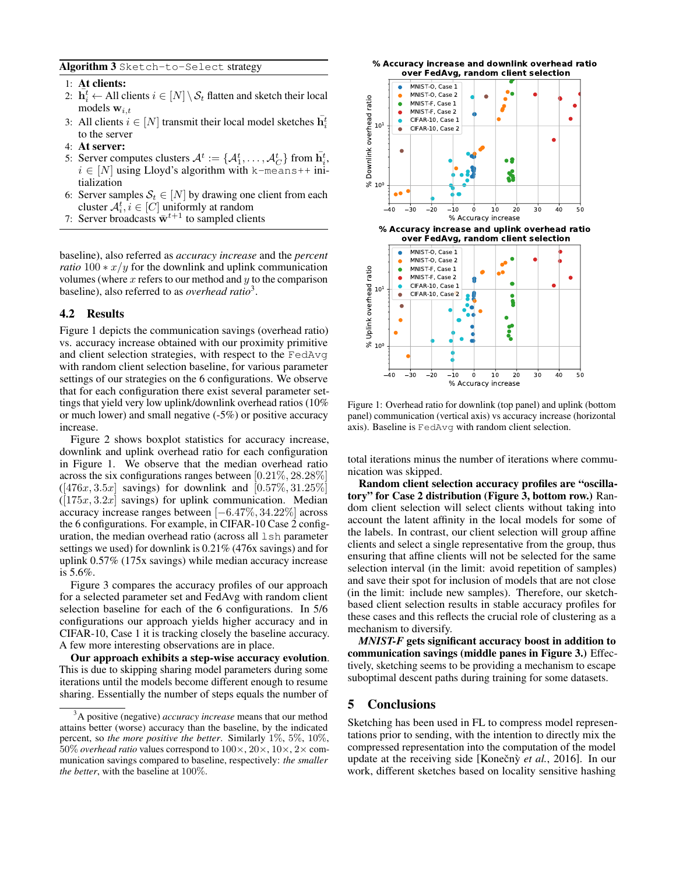<span id="page-4-0"></span>Algorithm 3 Sketch-to-Select strategy

#### 1: At clients:

- 2:  $\mathbf{h}_i^t \leftarrow$  All clients  $i \in [N] \setminus \mathcal{S}_t$  flatten and sketch their local models  $\mathbf{w}_{i,t}$
- 3: All clients  $i \in [N]$  transmit their local model sketches  $\overline{\mathbf{h}}_i^t$ to the server
- 4: At server:
- 5: Server computes clusters  $A^t := \{A_1^t, \ldots, A_C^t\}$  from  $\overline{\mathbf{h}}_i^t$ ,  $i \in [N]$  using Lloyd's algorithm with k-means++ initialization
- 6: Server samples  $S_t \in [N]$  by drawing one client from each cluster  $A_i^t$ ,  $i \in [C]$  uniformly at random
- 7: Server broadcasts  $\bar{\mathbf{w}}^{t+1}$  to sampled clients

baseline), also referred as *accuracy increase* and the *percent ratio*  $100 \times x/y$  for the downlink and uplink communication volumes (where  $x$  refers to our method and  $y$  to the comparison baseline), also referred to as *overhead ratio*[3](#page-4-1) .

#### 4.2 Results

Figure [1](#page-4-2) depicts the communication savings (overhead ratio) vs. accuracy increase obtained with our proximity primitive and client selection strategies, with respect to the FedAvg with random client selection baseline, for various parameter settings of our strategies on the 6 configurations. We observe that for each configuration there exist several parameter settings that yield very low uplink/downlink overhead ratios (10% or much lower) and small negative (-5%) or positive accuracy increase.

Figure [2](#page-5-0) shows boxplot statistics for accuracy increase, downlink and uplink overhead ratio for each configuration in Figure [1.](#page-4-2) We observe that the median overhead ratio across the six configurations ranges between [0.21%, 28.28%]  $([476x, 3.5x]$  savings) for downlink and  $[0.57\%, 31.25\%]$  $([175x, 3.2x]$  savings) for uplink communication. Median accuracy increase ranges between [−6.47%, 34.22%] across the 6 configurations. For example, in CIFAR-10 Case 2 configuration, the median overhead ratio (across all lsh parameter settings we used) for downlink is 0.21% (476x savings) and for uplink 0.57% (175x savings) while median accuracy increase is 5.6%.

Figure [3](#page-5-1) compares the accuracy profiles of our approach for a selected parameter set and FedAvg with random client selection baseline for each of the 6 configurations. In 5/6 configurations our approach yields higher accuracy and in CIFAR-10, Case 1 it is tracking closely the baseline accuracy. A few more interesting observations are in place.

Our approach exhibits a step-wise accuracy evolution. This is due to skipping sharing model parameters during some iterations until the models become different enough to resume sharing. Essentially the number of steps equals the number of

<span id="page-4-2"></span>

Figure 1: Overhead ratio for downlink (top panel) and uplink (bottom panel) communication (vertical axis) vs accuracy increase (horizontal axis). Baseline is FedAvg with random client selection.

total iterations minus the number of iterations where communication was skipped.

Random client selection accuracy profiles are "oscillatory" for Case 2 distribution (Figure [3,](#page-5-1) bottom row.) Random client selection will select clients without taking into account the latent affinity in the local models for some of the labels. In contrast, our client selection will group affine clients and select a single representative from the group, thus ensuring that affine clients will not be selected for the same selection interval (in the limit: avoid repetition of samples) and save their spot for inclusion of models that are not close (in the limit: include new samples). Therefore, our sketchbased client selection results in stable accuracy profiles for these cases and this reflects the crucial role of clustering as a mechanism to diversify.

*MNIST-F* gets significant accuracy boost in addition to communication savings (middle panes in Figure [3.](#page-5-1)) Effectively, sketching seems to be providing a mechanism to escape suboptimal descent paths during training for some datasets.

### 5 Conclusions

Sketching has been used in FL to compress model representations prior to sending, with the intention to directly mix the compressed representation into the computation of the model update at the receiving side [Konečnỳ *et al.*, 2016]. In our work, different sketches based on locality sensitive hashing

<span id="page-4-1"></span><sup>3</sup>A positive (negative) *accuracy increase* means that our method attains better (worse) accuracy than the baseline, by the indicated percent, so *the more positive the better*. Similarly 1%, 5%, 10%, 50% *overhead ratio* values correspond to 100×, 20×, 10×, 2× communication savings compared to baseline, respectively: *the smaller the better*, with the baseline at 100%.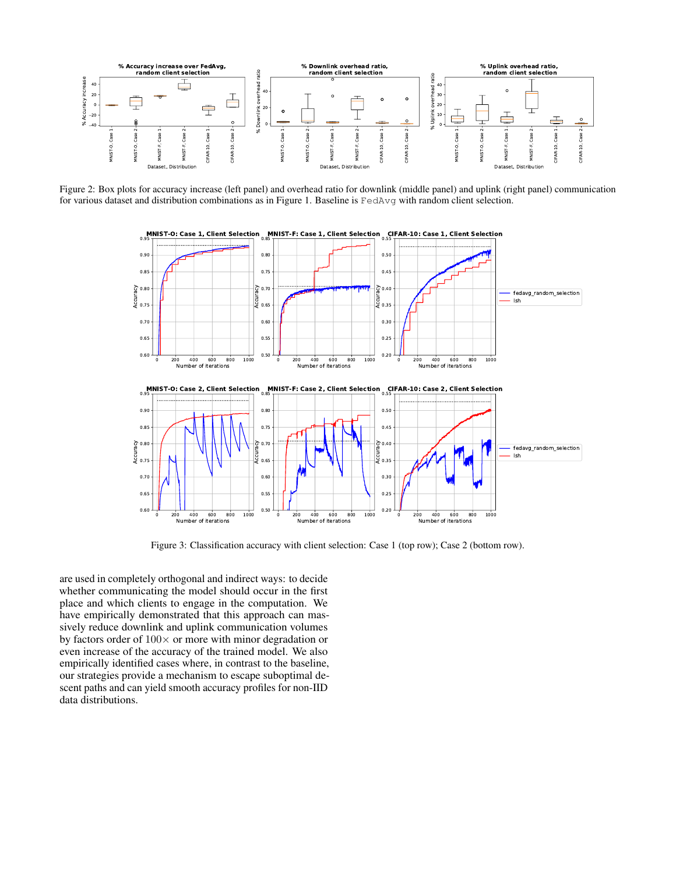<span id="page-5-0"></span>

<span id="page-5-1"></span>Figure 2: Box plots for accuracy increase (left panel) and overhead ratio for downlink (middle panel) and uplink (right panel) communication for various dataset and distribution combinations as in Figure [1.](#page-4-2) Baseline is FedAvg with random client selection.



Figure 3: Classification accuracy with client selection: Case 1 (top row); Case 2 (bottom row).

are used in completely orthogonal and indirect ways: to decide whether communicating the model should occur in the first place and which clients to engage in the computation. We have empirically demonstrated that this approach can massively reduce downlink and uplink communication volumes by factors order of  $100 \times$  or more with minor degradation or even increase of the accuracy of the trained model. We also empirically identified cases where, in contrast to the baseline, our strategies provide a mechanism to escape suboptimal descent paths and can yield smooth accuracy profiles for non-IID data distributions.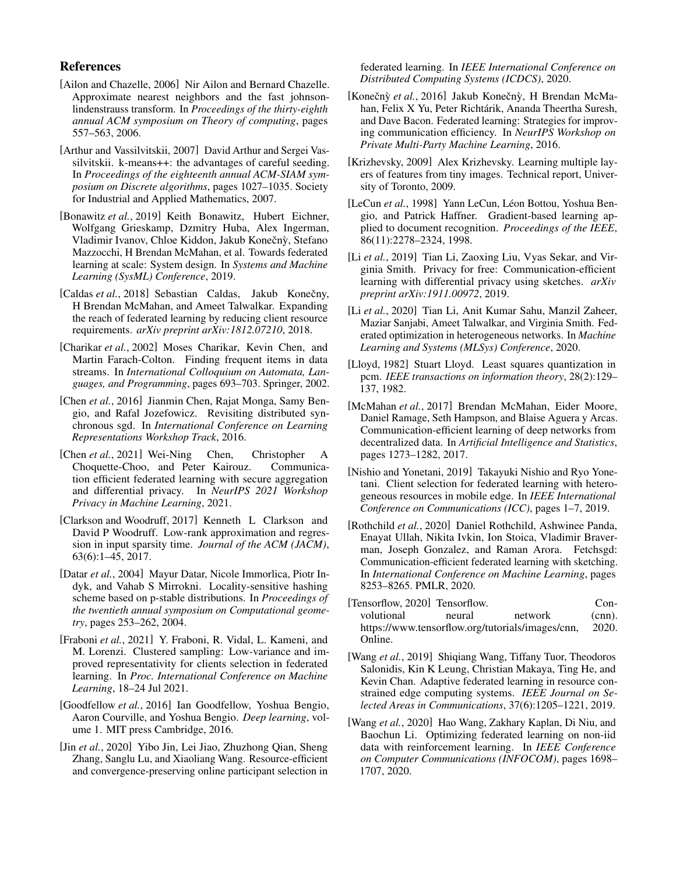# References

- <span id="page-6-15"></span>[Ailon and Chazelle, 2006] Nir Ailon and Bernard Chazelle. Approximate nearest neighbors and the fast johnsonlindenstrauss transform. In *Proceedings of the thirty-eighth annual ACM symposium on Theory of computing*, pages 557–563, 2006.
- <span id="page-6-18"></span>[Arthur and Vassilvitskii, 2007] David Arthur and Sergei Vassilvitskii. k-means++: the advantages of careful seeding. In *Proceedings of the eighteenth annual ACM-SIAM symposium on Discrete algorithms*, pages 1027–1035. Society for Industrial and Applied Mathematics, 2007.
- <span id="page-6-0"></span>[Bonawitz *et al.*, 2019] Keith Bonawitz, Hubert Eichner, Wolfgang Grieskamp, Dzmitry Huba, Alex Ingerman, Vladimir Ivanov, Chloe Kiddon, Jakub Konečný, Stefano Mazzocchi, H Brendan McMahan, et al. Towards federated learning at scale: System design. In *Systems and Machine Learning (SysML) Conference*, 2019.
- <span id="page-6-6"></span>[Caldas *et al.*, 2018] Sebastian Caldas, Jakub Konečny, H Brendan McMahan, and Ameet Talwalkar. Expanding the reach of federated learning by reducing client resource requirements. *arXiv preprint arXiv:1812.07210*, 2018.
- <span id="page-6-8"></span>[Charikar *et al.*, 2002] Moses Charikar, Kevin Chen, and Martin Farach-Colton. Finding frequent items in data streams. In *International Colloquium on Automata, Languages, and Programming*, pages 693–703. Springer, 2002.
- <span id="page-6-22"></span>[Chen *et al.*, 2016] Jianmin Chen, Rajat Monga, Samy Bengio, and Rafal Jozefowicz. Revisiting distributed synchronous sgd. In *International Conference on Learning Representations Workshop Track*, 2016.
- <span id="page-6-9"></span>[Chen *et al.*, 2021] Wei-Ning Chen, Christopher A Choquette-Choo, and Peter Kairouz. Communication efficient federated learning with secure aggregation and differential privacy. In *NeurIPS 2021 Workshop Privacy in Machine Learning*, 2021.
- <span id="page-6-16"></span>[Clarkson and Woodruff, 2017] Kenneth L Clarkson and David P Woodruff. Low-rank approximation and regression in input sparsity time. *Journal of the ACM (JACM)*, 63(6):1–45, 2017.
- <span id="page-6-14"></span>[Datar *et al.*, 2004] Mayur Datar, Nicole Immorlica, Piotr Indyk, and Vahab S Mirrokni. Locality-sensitive hashing scheme based on p-stable distributions. In *Proceedings of the twentieth annual symposium on Computational geometry*, pages 253–262, 2004.
- <span id="page-6-13"></span>[Fraboni *et al.*, 2021] Y. Fraboni, R. Vidal, L. Kameni, and M. Lorenzi. Clustered sampling: Low-variance and improved representativity for clients selection in federated learning. In *Proc. International Conference on Machine Learning*, 18–24 Jul 2021.
- <span id="page-6-21"></span>[Goodfellow *et al.*, 2016] Ian Goodfellow, Yoshua Bengio, Aaron Courville, and Yoshua Bengio. *Deep learning*, volume 1. MIT press Cambridge, 2016.
- <span id="page-6-11"></span>[Jin *et al.*, 2020] Yibo Jin, Lei Jiao, Zhuzhong Qian, Sheng Zhang, Sanglu Lu, and Xiaoliang Wang. Resource-efficient and convergence-preserving online participant selection in

federated learning. In *IEEE International Conference on Distributed Computing Systems (ICDCS)*, 2020.

- <span id="page-6-1"></span>[Konečnỳ et al., 2016] Jakub Konečnỳ, H Brendan McMahan, Felix X Yu, Peter Richtárik, Ananda Theertha Suresh, and Dave Bacon. Federated learning: Strategies for improving communication efficiency. In *NeurIPS Workshop on Private Multi-Party Machine Learning*, 2016.
- <span id="page-6-20"></span>[Krizhevsky, 2009] Alex Krizhevsky. Learning multiple layers of features from tiny images. Technical report, University of Toronto, 2009.
- <span id="page-6-19"></span>[LeCun *et al.*, 1998] Yann LeCun, Léon Bottou, Yoshua Bengio, and Patrick Haffner. Gradient-based learning applied to document recognition. *Proceedings of the IEEE*, 86(11):2278–2324, 1998.
- <span id="page-6-5"></span>[Li *et al.*, 2019] Tian Li, Zaoxing Liu, Vyas Sekar, and Virginia Smith. Privacy for free: Communication-efficient learning with differential privacy using sketches. *arXiv preprint arXiv:1911.00972*, 2019.
- <span id="page-6-3"></span>[Li *et al.*, 2020] Tian Li, Anit Kumar Sahu, Manzil Zaheer, Maziar Sanjabi, Ameet Talwalkar, and Virginia Smith. Federated optimization in heterogeneous networks. In *Machine Learning and Systems (MLSys) Conference*, 2020.
- <span id="page-6-17"></span>[Lloyd, 1982] Stuart Lloyd. Least squares quantization in pcm. *IEEE transactions on information theory*, 28(2):129– 137, 1982.
- <span id="page-6-2"></span>[McMahan *et al.*, 2017] Brendan McMahan, Eider Moore, Daniel Ramage, Seth Hampson, and Blaise Aguera y Arcas. Communication-efficient learning of deep networks from decentralized data. In *Artificial Intelligence and Statistics*, pages 1273–1282, 2017.
- <span id="page-6-12"></span>[Nishio and Yonetani, 2019] Takayuki Nishio and Ryo Yonetani. Client selection for federated learning with heterogeneous resources in mobile edge. In *IEEE International Conference on Communications (ICC)*, pages 1–7, 2019.
- <span id="page-6-7"></span>[Rothchild *et al.*, 2020] Daniel Rothchild, Ashwinee Panda, Enayat Ullah, Nikita Ivkin, Ion Stoica, Vladimir Braverman, Joseph Gonzalez, and Raman Arora. Fetchsgd: Communication-efficient federated learning with sketching. In *International Conference on Machine Learning*, pages 8253–8265. PMLR, 2020.

<span id="page-6-23"></span>

| [Tensorflow, 2020] Tensorflow.                   |        |         | Con-             |
|--------------------------------------------------|--------|---------|------------------|
| volutional                                       | neural | network | $(\text{cnn})$ . |
| https://www.tensorflow.org/tutorials/images/cnn, |        |         | 2020.            |
| Online.                                          |        |         |                  |

- <span id="page-6-4"></span>[Wang *et al.*, 2019] Shiqiang Wang, Tiffany Tuor, Theodoros Salonidis, Kin K Leung, Christian Makaya, Ting He, and Kevin Chan. Adaptive federated learning in resource constrained edge computing systems. *IEEE Journal on Selected Areas in Communications*, 37(6):1205–1221, 2019.
- <span id="page-6-10"></span>[Wang *et al.*, 2020] Hao Wang, Zakhary Kaplan, Di Niu, and Baochun Li. Optimizing federated learning on non-iid data with reinforcement learning. In *IEEE Conference on Computer Communications (INFOCOM)*, pages 1698– 1707, 2020.